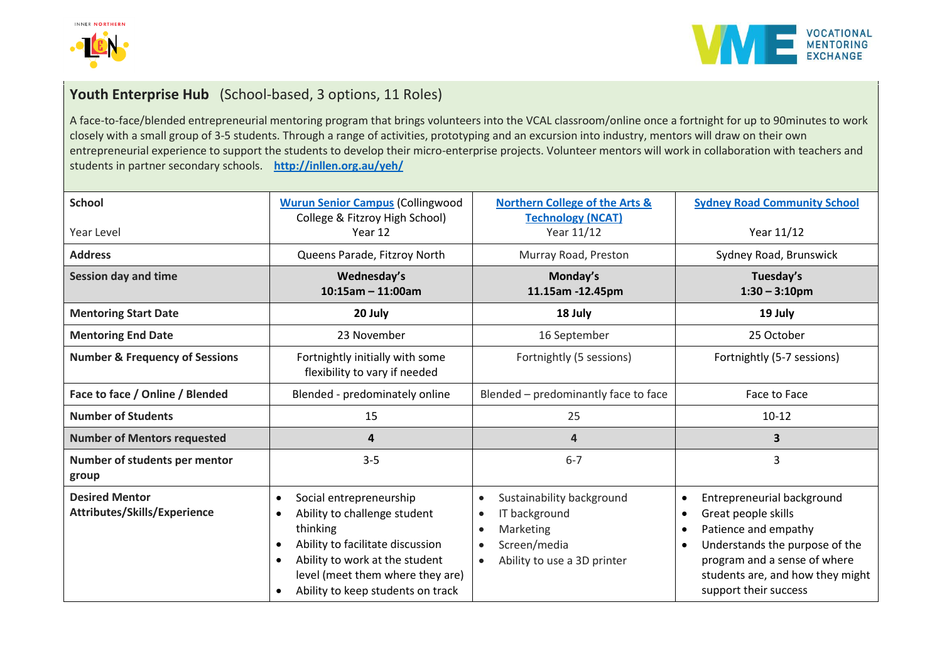



## **Youth Enterprise Hub** (School-based, 3 options, 11 Roles)

A face-to-face/blended entrepreneurial mentoring program that brings volunteers into the VCAL classroom/online once a fortnight for up to 90minutes to work closely with a small group of 3-5 students. Through a range of activities, prototyping and an excursion into industry, mentors will draw on their own entrepreneurial experience to support the students to develop their micro-enterprise projects. Volunteer mentors will work in collaboration with teachers and students in partner secondary schools. **<http://inllen.org.au/yeh/>**

| <b>School</b>                                         | <b>Wurun Senior Campus (Collingwood</b><br>College & Fitzroy High School)                                                                                                                                                       | <b>Northern College of the Arts &amp;</b><br><b>Technology (NCAT)</b>                                                                                                   | <b>Sydney Road Community School</b>                                                                                                                                                                      |
|-------------------------------------------------------|---------------------------------------------------------------------------------------------------------------------------------------------------------------------------------------------------------------------------------|-------------------------------------------------------------------------------------------------------------------------------------------------------------------------|----------------------------------------------------------------------------------------------------------------------------------------------------------------------------------------------------------|
| Year Level                                            | Year 12                                                                                                                                                                                                                         | Year 11/12                                                                                                                                                              | Year 11/12                                                                                                                                                                                               |
| <b>Address</b>                                        | Queens Parade, Fitzroy North                                                                                                                                                                                                    | Murray Road, Preston                                                                                                                                                    | Sydney Road, Brunswick                                                                                                                                                                                   |
| <b>Session day and time</b>                           | Wednesday's<br>$10:15$ am - 11:00am                                                                                                                                                                                             | Monday's<br>11.15am -12.45pm                                                                                                                                            | Tuesday's<br>$1:30 - 3:10$ pm                                                                                                                                                                            |
| <b>Mentoring Start Date</b>                           | 20 July                                                                                                                                                                                                                         | 18 July                                                                                                                                                                 | 19 July                                                                                                                                                                                                  |
| <b>Mentoring End Date</b>                             | 23 November                                                                                                                                                                                                                     | 16 September                                                                                                                                                            | 25 October                                                                                                                                                                                               |
| <b>Number &amp; Frequency of Sessions</b>             | Fortnightly initially with some<br>flexibility to vary if needed                                                                                                                                                                | Fortnightly (5 sessions)                                                                                                                                                | Fortnightly (5-7 sessions)                                                                                                                                                                               |
| Face to face / Online / Blended                       | Blended - predominately online                                                                                                                                                                                                  | Blended - predominantly face to face                                                                                                                                    | Face to Face                                                                                                                                                                                             |
| <b>Number of Students</b>                             | 15                                                                                                                                                                                                                              | 25                                                                                                                                                                      | $10-12$                                                                                                                                                                                                  |
| <b>Number of Mentors requested</b>                    | 4                                                                                                                                                                                                                               | $\overline{\mathbf{4}}$                                                                                                                                                 | $\overline{\mathbf{3}}$                                                                                                                                                                                  |
| Number of students per mentor<br>group                | $3 - 5$                                                                                                                                                                                                                         | $6 - 7$                                                                                                                                                                 | 3                                                                                                                                                                                                        |
| <b>Desired Mentor</b><br>Attributes/Skills/Experience | Social entrepreneurship<br>$\bullet$<br>Ability to challenge student<br>thinking<br>Ability to facilitate discussion<br>Ability to work at the student<br>level (meet them where they are)<br>Ability to keep students on track | Sustainability background<br>$\bullet$<br>IT background<br>$\bullet$<br>Marketing<br>$\bullet$<br>Screen/media<br>$\bullet$<br>Ability to use a 3D printer<br>$\bullet$ | Entrepreneurial background<br>Great people skills<br>Patience and empathy<br>Understands the purpose of the<br>program and a sense of where<br>students are, and how they might<br>support their success |